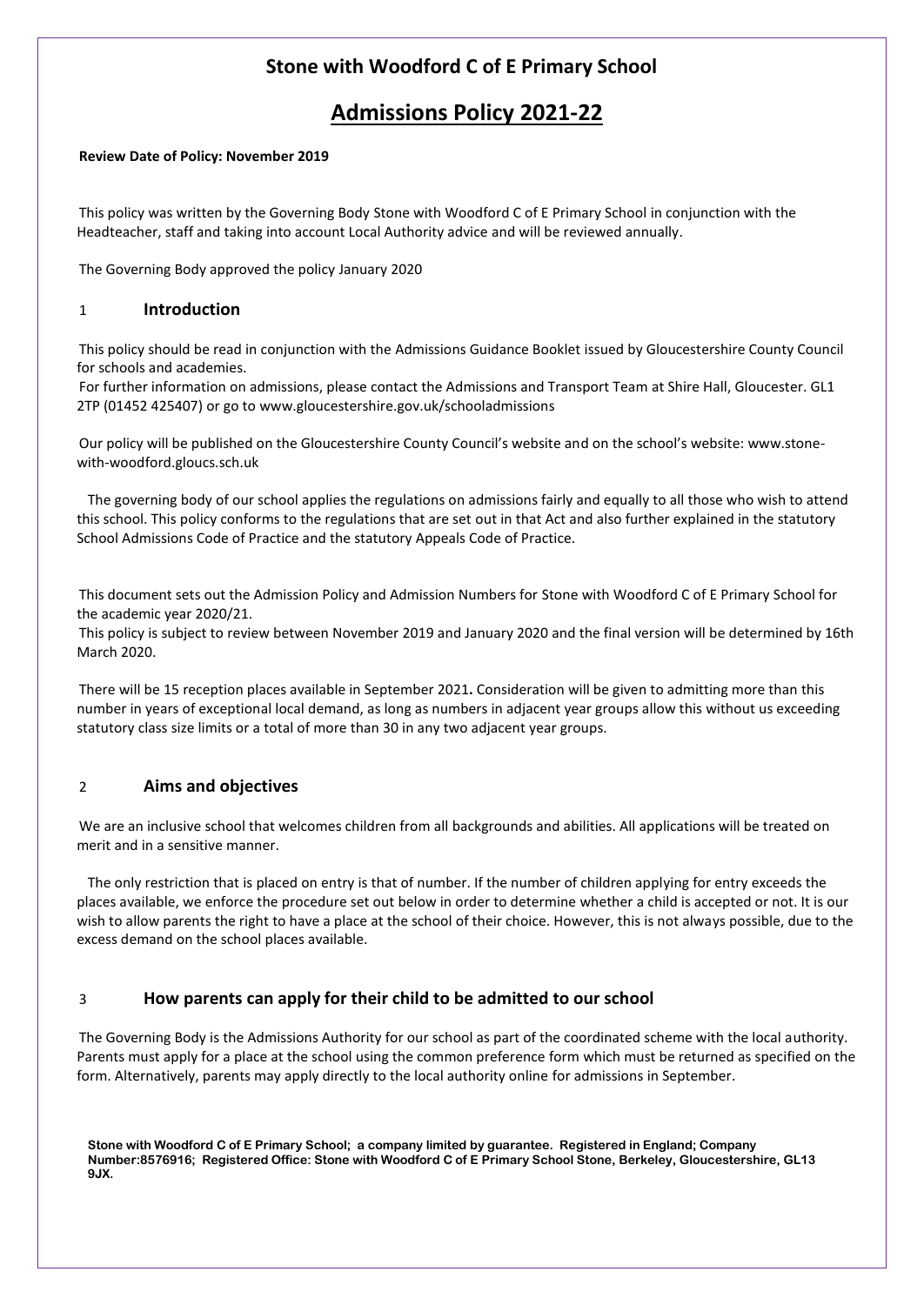# **Stone with Woodford C of E Primary School**

# **Admissions Policy 2021-22**

#### **Review Date of Policy: November 2019**

This policy was written by the Governing Body Stone with Woodford C of E Primary School in conjunction with the Headteacher, staff and taking into account Local Authority advice and will be reviewed annually.

The Governing Body approved the policy January 2020

### 1 **Introduction**

This policy should be read in conjunction with the Admissions Guidance Booklet issued by Gloucestershire County Council for schools and academies.

For further information on admissions, please contact the Admissions and Transport Team at Shire Hall, Gloucester. GL1 2TP (01452 425407) or go to www.gloucestershire.gov.uk/schooladmissions

Our policy will be published on the Gloucestershire County Council's website and on the school's website: www.stonewith-woodford.gloucs.sch.uk

The governing body of our school applies the regulations on admissions fairly and equally to all those who wish to attend this school. This policy conforms to the regulations that are set out in that Act and also further explained in the statutory School Admissions Code of Practice and the statutory Appeals Code of Practice.

This document sets out the Admission Policy and Admission Numbers for Stone with Woodford C of E Primary School for the academic year 2020/21.

This policy is subject to review between November 2019 and January 2020 and the final version will be determined by 16th March 2020.

There will be 15 reception places available in September 2021**.** Consideration will be given to admitting more than this number in years of exceptional local demand, as long as numbers in adjacent year groups allow this without us exceeding statutory class size limits or a total of more than 30 in any two adjacent year groups.

### 2 **Aims and objectives**

We are an inclusive school that welcomes children from all backgrounds and abilities. All applications will be treated on merit and in a sensitive manner.

The only restriction that is placed on entry is that of number. If the number of children applying for entry exceeds the places available, we enforce the procedure set out below in order to determine whether a child is accepted or not. It is our wish to allow parents the right to have a place at the school of their choice. However, this is not always possible, due to the excess demand on the school places available.

### 3 **How parents can apply for their child to be admitted to our school**

The Governing Body is the Admissions Authority for our school as part of the coordinated scheme with the local authority. Parents must apply for a place at the school using the common preference form which must be returned as specified on the form. Alternatively, parents may apply directly to the local authority online for admissions in September.

**Stone with Woodford C of E Primary School; a company limited by guarantee. Registered in England; Company Number:8576916; Registered Office: Stone with Woodford C of E Primary School Stone, Berkeley, Gloucestershire, GL13 9JX.**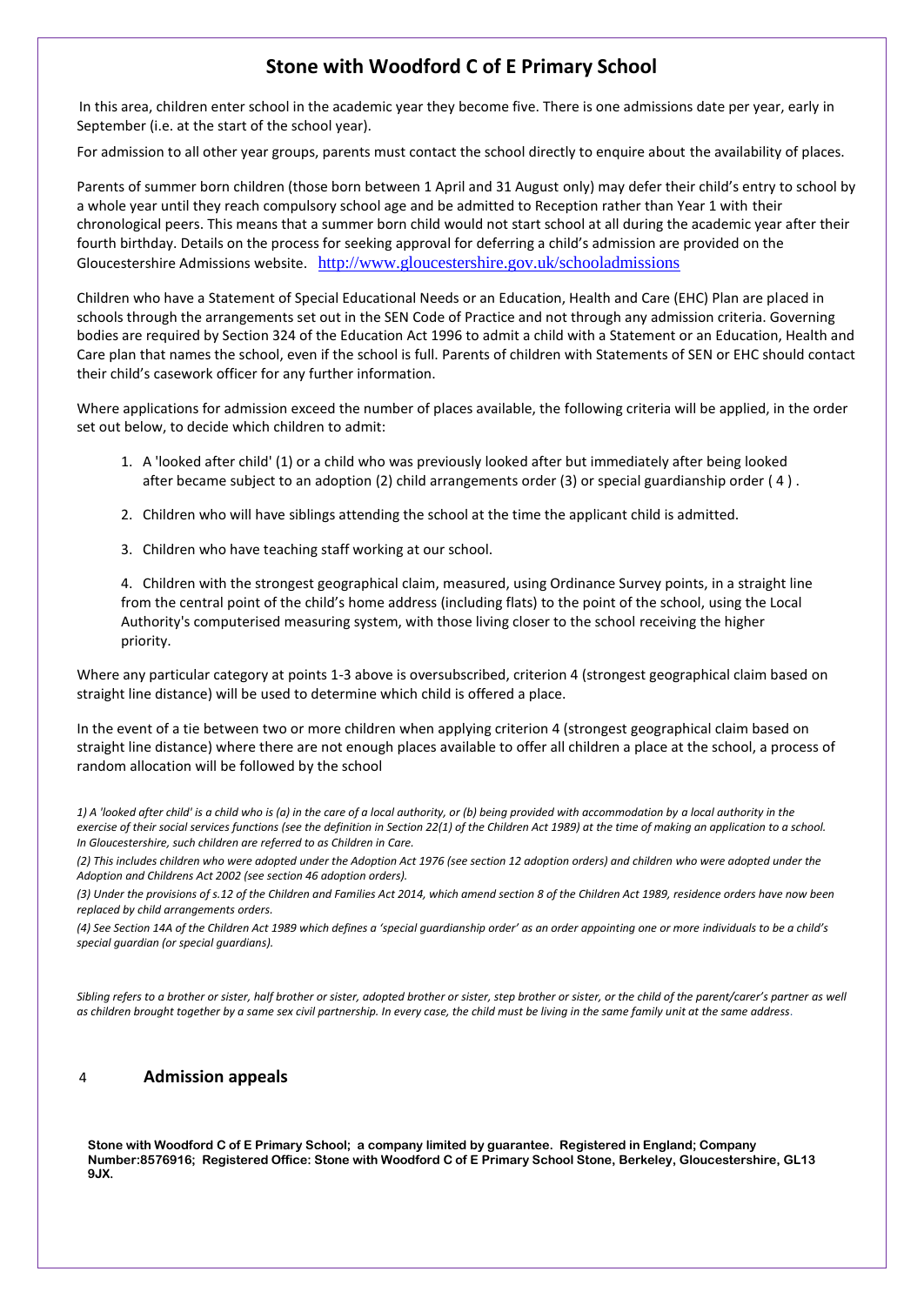## **Stone with Woodford C of E Primary School**

In this area, children enter school in the academic year they become five. There is one admissions date per year, early in September (i.e. at the start of the school year).

For admission to all other year groups, parents must contact the school directly to enquire about the availability of places.

Parents of summer born children (those born between 1 April and 31 August only) may defer their child's entry to school by a whole year until they reach compulsory school age and be admitted to Reception rather than Year 1 with their chronological peers. This means that a summer born child would not start school at all during the academic year after their fourth birthday. Details on the process for seeking approval for deferring a child's admission are provided on the Gloucestershire Admissions website. <http://www.gloucestershire.gov.uk/schooladmissions>

Children who have a Statement of Special Educational Needs or an Education, Health and Care (EHC) Plan are placed in schools through the arrangements set out in the SEN Code of Practice and not through any admission criteria. Governing bodies are required by Section 324 of the Education Act 1996 to admit a child with a Statement or an Education, Health and Care plan that names the school, even if the school is full. Parents of children with Statements of SEN or EHC should contact their child's casework officer for any further information.

Where applications for admission exceed the number of places available, the following criteria will be applied, in the order set out below, to decide which children to admit:

- 1. A 'looked after child' (1) or a child who was previously looked after but immediately after being looked after became subject to an adoption (2) child arrangements order (3) or special guardianship order ( 4 ) .
- 2. Children who will have siblings attending the school at the time the applicant child is admitted.
- 3. Children who have teaching staff working at our school.

4. Children with the strongest geographical claim, measured, using Ordinance Survey points, in a straight line from the central point of the child's home address (including flats) to the point of the school, using the Local Authority's computerised measuring system, with those living closer to the school receiving the higher priority.

Where any particular category at points 1-3 above is oversubscribed, criterion 4 (strongest geographical claim based on straight line distance) will be used to determine which child is offered a place.

In the event of a tie between two or more children when applying criterion 4 (strongest geographical claim based on straight line distance) where there are not enough places available to offer all children a place at the school, a process of random allocation will be followed by the school

1) A 'looked after child' is a child who is (a) in the care of a local authority, or (b) being provided with accommodation by a local authority in the *exercise of their social services functions (see the definition in Section 22(1) of the Children Act 1989) at the time of making an application to a school. In Gloucestershire, such children are referred to as Children in Care.* 

*(2) This includes children who were adopted under the Adoption Act 1976 (see section 12 adoption orders) and children who were adopted under the Adoption and Childrens Act 2002 (see section 46 adoption orders).* 

*(3) Under the provisions of s.12 of the Children and Families Act 2014, which amend section 8 of the Children Act 1989, residence orders have now been replaced by child arrangements orders.* 

*(4) See Section 14A of the Children Act 1989 which defines a 'special guardianship order' as an order appointing one or more individuals to be a child's special guardian (or special guardians).* 

*Sibling refers to a brother or sister, half brother or sister, adopted brother or sister, step brother or sister, or the child of the parent/carer's partner as well as children brought together by a same sex civil partnership. In every case, the child must be living in the same family unit at the same address*.

### 4 **Admission appeals**

**Stone with Woodford C of E Primary School; a company limited by guarantee. Registered in England; Company Number:8576916; Registered Office: Stone with Woodford C of E Primary School Stone, Berkeley, Gloucestershire, GL13 9JX.**